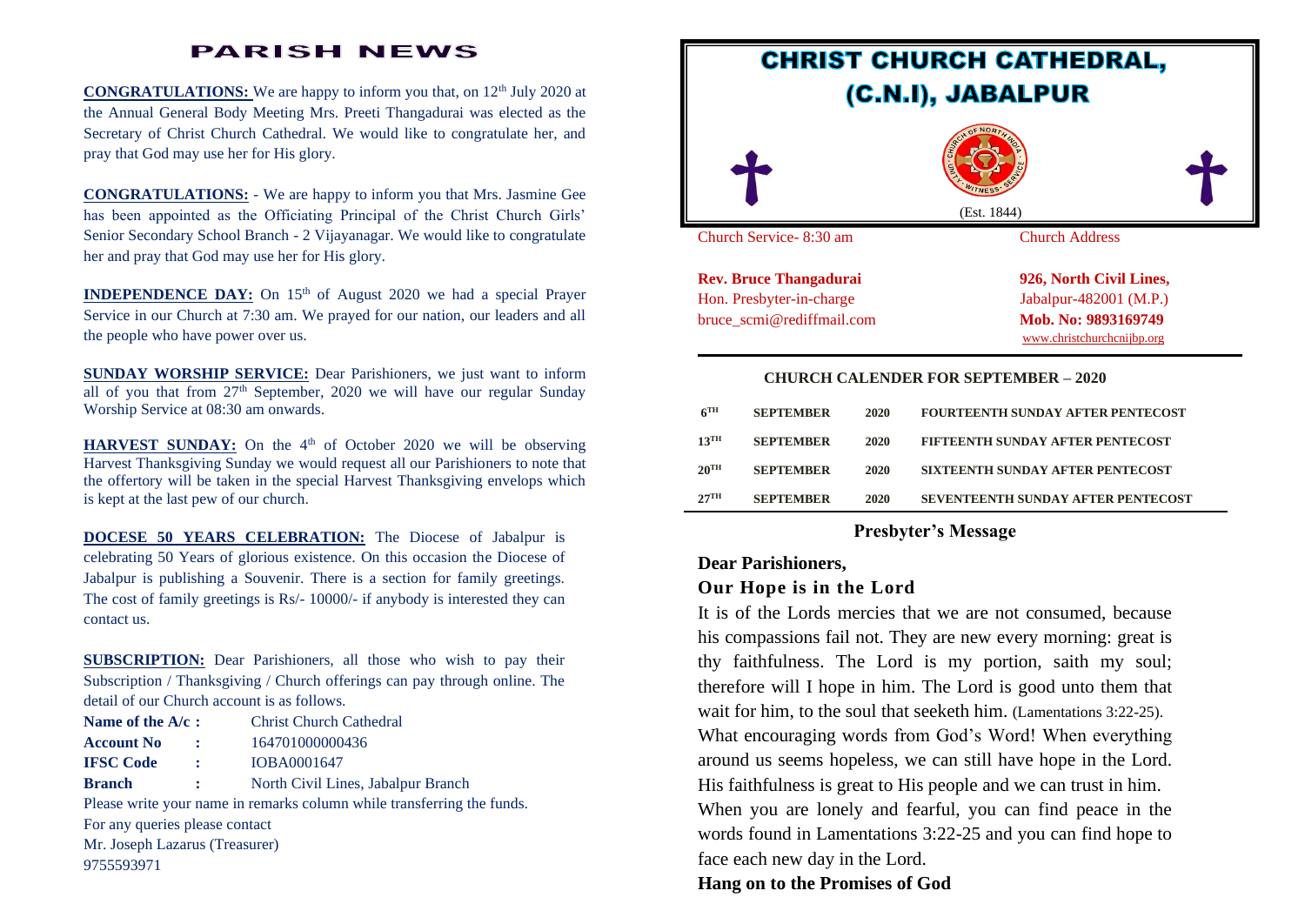# **PARISH NEWS**

**CONGRATULATIONS:** We are happy to inform you that, on 12<sup>th</sup> July 2020 at the Annual General Body Meeting Mrs. Preeti Thangadurai was elected as the Secretary of Christ Church Cathedral. We would like to congratulate her, and pray that God may use her for His glory.

**CONGRATULATIONS:** - We are happy to inform you that Mrs. Jasmine Gee has been appointed as the Officiating Principal of the Christ Church Girls' Senior Secondary School Branch - 2 Vijayanagar. We would like to congratulate her and pray that God may use her for His glory.

**INDEPENDENCE DAY:** On 15<sup>th</sup> of August 2020 we had a special Prayer Service in our Church at 7:30 am. We prayed for our nation, our leaders and all the people who have power over us.

**SUNDAY WORSHIP SERVICE:** Dear Parishioners, we just want to inform all of you that from  $27<sup>th</sup>$  September, 2020 we will have our regular Sunday Worship Service at 08:30 am onwards.

**HARVEST SUNDAY:** On the  $4<sup>th</sup>$  of October 2020 we will be observing Harvest Thanksgiving Sunday we would request all our Parishioners to note that the offertory will be taken in the special Harvest Thanksgiving envelops which is kept at the last pew of our church.

**DOCESE 50 YEARS CELEBRATION:** The Diocese of Jabalpur is celebrating 50 Years of glorious existence. On this occasion the Diocese of Jabalpur is publishing a Souvenir. There is a section for family greetings. The cost of family greetings is Rs/- 10000/- if anybody is interested they can contact us.

**SUBSCRIPTION:** Dear Parishioners, all those who wish to pay their Subscription / Thanksgiving / Church offerings can pay through online. The detail of our Church account is as follows.

| Name of the $A/c$ :                                                    |           | <b>Christ Church Cathedral</b>     |  |  |
|------------------------------------------------------------------------|-----------|------------------------------------|--|--|
| <b>Account No</b>                                                      | ÷         | 164701000000436                    |  |  |
| <b>IFSC Code</b>                                                       | $\sim$ 1. | IOBA0001647                        |  |  |
| <b>Branch</b>                                                          | 2.0001    | North Civil Lines, Jabalpur Branch |  |  |
| Please write your name in remarks column while transferring the funds. |           |                                    |  |  |
| For any queries please contact                                         |           |                                    |  |  |
| Mr. Joseph Lazarus (Treasurer)                                         |           |                                    |  |  |
| 9755593971                                                             |           |                                    |  |  |



#### **CHURCH CALENDER FOR SEPTEMBER – 2020**

| 6 <sup>TH</sup>    | <b>SEPTEMBER</b> | 2020 | <b>FOURTEENTH SUNDAY AFTER PENTECOST</b>  |
|--------------------|------------------|------|-------------------------------------------|
| $13$ <sup>TH</sup> | <b>SEPTEMBER</b> | 2020 | FIFTEENTH SUNDAY AFTER PENTECOST          |
| $20^{\text{TH}}$   | <b>SEPTEMBER</b> | 2020 | SIXTEENTH SUNDAY AFTER PENTECOST          |
| $27^{\text{TH}}$   | <b>SEPTEMBER</b> | 2020 | <b>SEVENTEENTH SUNDAY AFTER PENTECOST</b> |

## **Presbyter's Message**

#### **Dear Parishioners,**

### **Our Hope is in the Lord**

It is of the Lords mercies that we are not consumed, because his compassions fail not. They are new every morning: great is thy faithfulness. The Lord is my portion, saith my soul; therefore will I hope in him. The Lord is good unto them that wait for him, to the soul that seeketh him. (Lamentations 3:22-25). What encouraging words from God's Word! When everything around us seems hopeless, we can still have hope in the Lord. His faithfulness is great to His people and we can trust in him. When you are lonely and fearful, you can find peace in the words found in Lamentations 3:22-25 and you can find hope to face each new day in the Lord.

**Hang on to the Promises of God**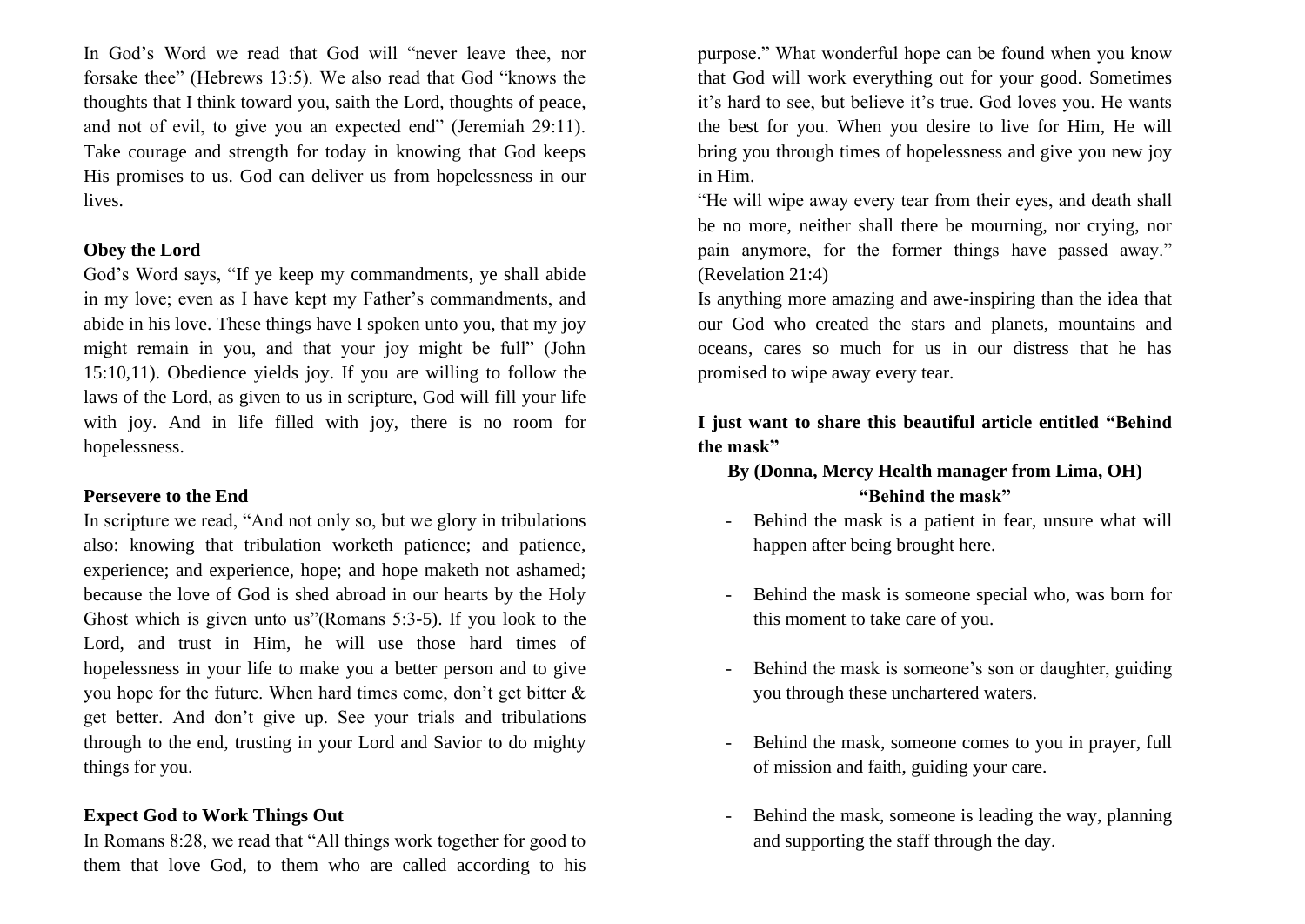In God's Word we read that God will "never leave thee, nor forsake thee" (Hebrews 13:5). We also read that God "knows the thoughts that I think toward you, saith the Lord, thoughts of peace, and not of evil, to give you an expected end" (Jeremiah 29:11). Take courage and strength for today in knowing that God keeps His promises to us. God can deliver us from hopelessness in our lives.

## **Obey the Lord**

God's Word says, "If ye keep my commandments, ye shall abide in my love; even as I have kept my Father's commandments, and abide in his love. These things have I spoken unto you, that my joy might remain in you, and that your joy might be full" (John 15:10,11). Obedience yields joy. If you are willing to follow the laws of the Lord, as given to us in scripture, God will fill your life with joy. And in life filled with joy, there is no room for hopelessness.

## **Persevere to the End**

In scripture we read, "And not only so, but we glory in tribulations also: knowing that tribulation worketh patience; and patience, experience; and experience, hope; and hope maketh not ashamed; because the love of God is shed abroad in our hearts by the Holy Ghost which is given unto us"(Romans 5:3-5). If you look to the Lord, and trust in Him, he will use those hard times of hopelessness in your life to make you a better person and to give you hope for the future. When hard times come, don't get bitter & get better. And don't give up. See your trials and tribulations through to the end, trusting in your Lord and Savior to do mighty things for you.

## **Expect God to Work Things Out**

In Romans 8:28, we read that "All things work together for good to them that love God, to them who are called according to his purpose." What wonderful hope can be found when you know that God will work everything out for your good. Sometimes it's hard to see, but believe it's true. God loves you. He wants the best for you. When you desire to live for Him, He will bring you through times of hopelessness and give you new joy in Him.

"He will wipe away every tear from their eyes, and death shall be no more, neither shall there be mourning, nor crying, nor pain anymore, for the former things have passed away." (Revelation 21:4)

Is anything more amazing and awe-inspiring than the idea that our God who created the stars and planets, mountains and oceans, cares so much for us in our distress that he has promised to wipe away every tear.

**I just want to share this beautiful article entitled "Behind the mask"**

## **By (Donna, Mercy Health manager from Lima, OH) "Behind the mask"**

- Behind the mask is a patient in fear, unsure what will happen after being brought here.
- Behind the mask is someone special who, was born for this moment to take care of you.
- Behind the mask is someone's son or daughter, guiding you through these unchartered waters.
- Behind the mask, someone comes to you in prayer, full of mission and faith, guiding your care.
- Behind the mask, someone is leading the way, planning and supporting the staff through the day.